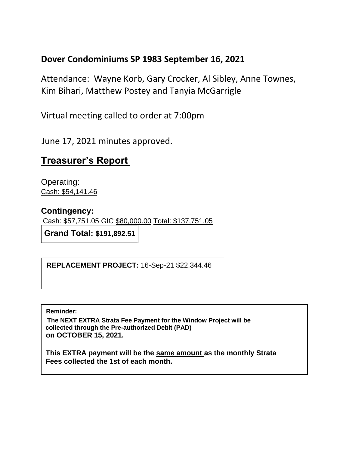### **Dover Condominiums SP 1983 September 16, 2021**

Attendance: Wayne Korb, Gary Crocker, Al Sibley, Anne Townes, Kim Bihari, Matthew Postey and Tanyia McGarrigle

Virtual meeting called to order at 7:00pm

June 17, 2021 minutes approved.

# **Treasurer's Report**

Operating: Cash: \$54,141.46

#### **Contingency:**

Cash: \$57,751.05 GIC \$80,000.00 Total: \$137,751.05

**Grand Total: \$191,892.51**

**WINDOWS R REPLACEMENT PROJECT:** 16-Sep-21 \$22,344.46

**Reminder:** 

**The NEXT EXTRA Strata Fee Payment for the Window Project will be collected through the Pre-authorized Debit (PAD) on OCTOBER 15, 2021.**

**This EXTRA payment will be the same amount as the monthly Strata Fees collected the 1st of each month.**